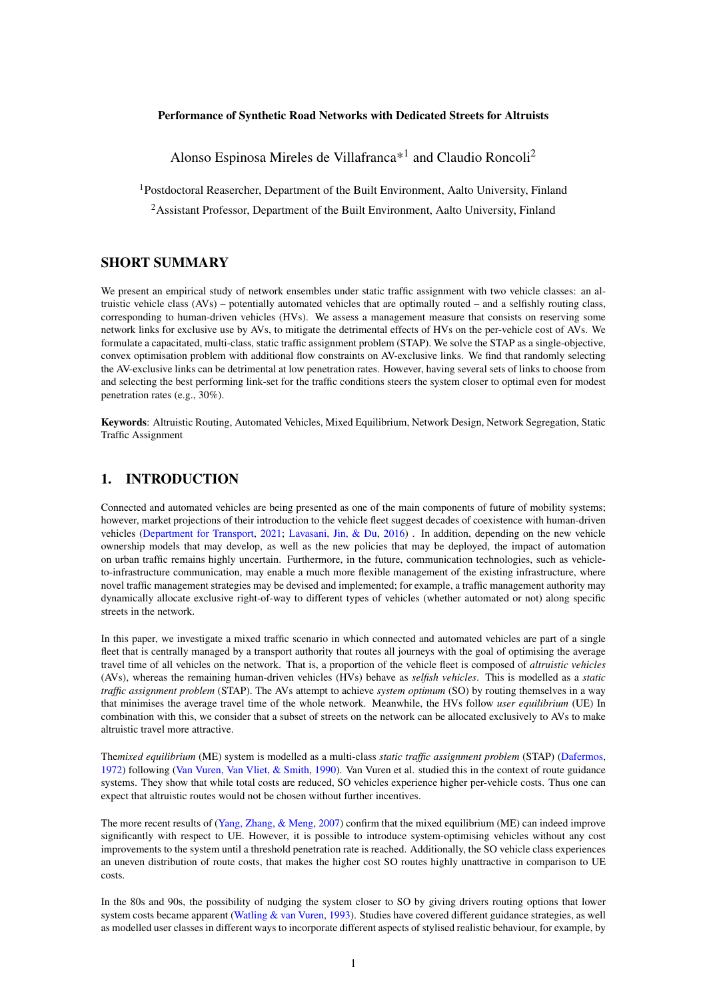## Performance of Synthetic Road Networks with Dedicated Streets for Altruists

Alonso Espinosa Mireles de Villafranca<sup>\*1</sup> and Claudio Roncoli<sup>2</sup>

<sup>1</sup>Postdoctoral Reasercher, Department of the Built Environment, Aalto University, Finland

<sup>2</sup>Assistant Professor, Department of the Built Environment, Aalto University, Finland

## SHORT SUMMARY

We present an empirical study of network ensembles under static traffic assignment with two vehicle classes: an altruistic vehicle class (AVs) – potentially automated vehicles that are optimally routed – and a selfishly routing class, corresponding to human-driven vehicles (HVs). We assess a management measure that consists on reserving some network links for exclusive use by AVs, to mitigate the detrimental effects of HVs on the per-vehicle cost of AVs. We formulate a capacitated, multi-class, static traffic assignment problem (STAP). We solve the STAP as a single-objective, convex optimisation problem with additional flow constraints on AV-exclusive links. We find that randomly selecting the AV-exclusive links can be detrimental at low penetration rates. However, having several sets of links to choose from and selecting the best performing link-set for the traffic conditions steers the system closer to optimal even for modest penetration rates (e.g., 30%).

Keywords: Altruistic Routing, Automated Vehicles, Mixed Equilibrium, Network Design, Network Segregation, Static Traffic Assignment

## 1. INTRODUCTION

Connected and automated vehicles are being presented as one of the main components of future of mobility systems; however, market projections of their introduction to the vehicle fleet suggest decades of coexistence with human-driven vehicles [\(Department for Transport,](#page-8-0) [2021;](#page-8-0) [Lavasani, Jin, & Du,](#page-8-1) [2016\)](#page-8-1) . In addition, depending on the new vehicle ownership models that may develop, as well as the new policies that may be deployed, the impact of automation on urban traffic remains highly uncertain. Furthermore, in the future, communication technologies, such as vehicleto-infrastructure communication, may enable a much more flexible management of the existing infrastructure, where novel traffic management strategies may be devised and implemented; for example, a traffic management authority may dynamically allocate exclusive right-of-way to different types of vehicles (whether automated or not) along specific streets in the network.

In this paper, we investigate a mixed traffic scenario in which connected and automated vehicles are part of a single fleet that is centrally managed by a transport authority that routes all journeys with the goal of optimising the average travel time of all vehicles on the network. That is, a proportion of the vehicle fleet is composed of *altruistic vehicles* (AVs), whereas the remaining human-driven vehicles (HVs) behave as *selfish vehicles*. This is modelled as a *static traffic assignment problem* (STAP). The AVs attempt to achieve *system optimum* (SO) by routing themselves in a way that minimises the average travel time of the whole network. Meanwhile, the HVs follow *user equilibrium* (UE) In combination with this, we consider that a subset of streets on the network can be allocated exclusively to AVs to make altruistic travel more attractive.

The*mixed equilibrium* (ME) system is modelled as a multi-class *static traffic assignment problem* (STAP) [\(Dafermos,](#page-8-2) [1972\)](#page-8-2) following [\(Van Vuren, Van Vliet, & Smith,](#page-9-0) [1990\)](#page-9-0). Van Vuren et al. studied this in the context of route guidance systems. They show that while total costs are reduced, SO vehicles experience higher per-vehicle costs. Thus one can expect that altruistic routes would not be chosen without further incentives.

The more recent results of [\(Yang, Zhang, & Meng,](#page-9-1) [2007\)](#page-9-1) confirm that the mixed equilibrium (ME) can indeed improve significantly with respect to UE. However, it is possible to introduce system-optimising vehicles without any cost improvements to the system until a threshold penetration rate is reached. Additionally, the SO vehicle class experiences an uneven distribution of route costs, that makes the higher cost SO routes highly unattractive in comparison to UE costs.

In the 80s and 90s, the possibility of nudging the system closer to SO by giving drivers routing options that lower system costs became apparent [\(Watling & van Vuren,](#page-9-2) [1993\)](#page-9-2). Studies have covered different guidance strategies, as well as modelled user classes in different ways to incorporate different aspects of stylised realistic behaviour, for example, by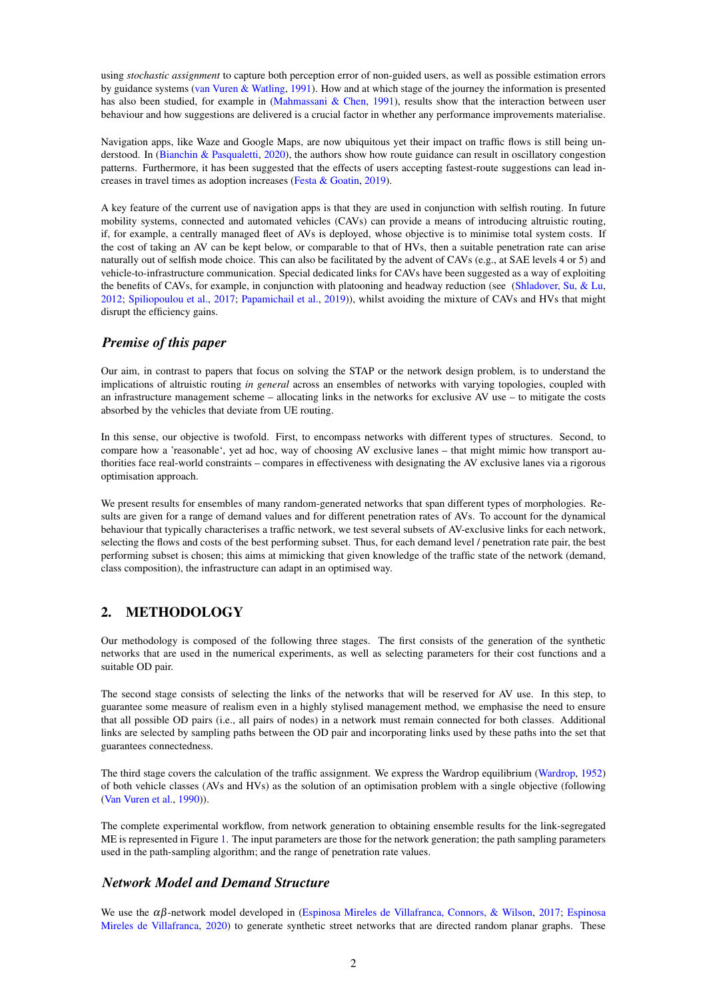using *stochastic assignment* to capture both perception error of non-guided users, as well as possible estimation errors by guidance systems [\(van Vuren & Watling,](#page-9-3) [1991\)](#page-9-3). How and at which stage of the journey the information is presented has also been studied, for example in [\(Mahmassani & Chen,](#page-8-3) [1991\)](#page-8-3), results show that the interaction between user behaviour and how suggestions are delivered is a crucial factor in whether any performance improvements materialise.

Navigation apps, like Waze and Google Maps, are now ubiquitous yet their impact on traffic flows is still being un-derstood. In [\(Bianchin & Pasqualetti,](#page-8-4) [2020\)](#page-8-4), the authors show how route guidance can result in oscillatory congestion patterns. Furthermore, it has been suggested that the effects of users accepting fastest-route suggestions can lead increases in travel times as adoption increases [\(Festa & Goatin,](#page-8-5) [2019\)](#page-8-5).

A key feature of the current use of navigation apps is that they are used in conjunction with selfish routing. In future mobility systems, connected and automated vehicles (CAVs) can provide a means of introducing altruistic routing, if, for example, a centrally managed fleet of AVs is deployed, whose objective is to minimise total system costs. If the cost of taking an AV can be kept below, or comparable to that of HVs, then a suitable penetration rate can arise naturally out of selfish mode choice. This can also be facilitated by the advent of CAVs (e.g., at SAE levels 4 or 5) and vehicle-to-infrastructure communication. Special dedicated links for CAVs have been suggested as a way of exploiting the benefits of CAVs, for example, in conjunction with platooning and headway reduction (see [\(Shladover, Su, & Lu,](#page-9-4) [2012;](#page-9-4) [Spiliopoulou et al.,](#page-9-5) [2017;](#page-9-5) [Papamichail et al.,](#page-8-6) [2019\)](#page-8-6)), whilst avoiding the mixture of CAVs and HVs that might disrupt the efficiency gains.

## *Premise of this paper*

Our aim, in contrast to papers that focus on solving the STAP or the network design problem, is to understand the implications of altruistic routing *in general* across an ensembles of networks with varying topologies, coupled with an infrastructure management scheme – allocating links in the networks for exclusive AV use – to mitigate the costs absorbed by the vehicles that deviate from UE routing.

In this sense, our objective is twofold. First, to encompass networks with different types of structures. Second, to compare how a 'reasonable', yet ad hoc, way of choosing AV exclusive lanes – that might mimic how transport authorities face real-world constraints – compares in effectiveness with designating the AV exclusive lanes via a rigorous optimisation approach.

We present results for ensembles of many random-generated networks that span different types of morphologies. Results are given for a range of demand values and for different penetration rates of AVs. To account for the dynamical behaviour that typically characterises a traffic network, we test several subsets of AV-exclusive links for each network, selecting the flows and costs of the best performing subset. Thus, for each demand level / penetration rate pair, the best performing subset is chosen; this aims at mimicking that given knowledge of the traffic state of the network (demand, class composition), the infrastructure can adapt in an optimised way.

# <span id="page-1-0"></span>2. METHODOLOGY

Our methodology is composed of the following three stages. The first consists of the generation of the synthetic networks that are used in the numerical experiments, as well as selecting parameters for their cost functions and a suitable OD pair.

The second stage consists of selecting the links of the networks that will be reserved for AV use. In this step, to guarantee some measure of realism even in a highly stylised management method, we emphasise the need to ensure that all possible OD pairs (i.e., all pairs of nodes) in a network must remain connected for both classes. Additional links are selected by sampling paths between the OD pair and incorporating links used by these paths into the set that guarantees connectedness.

The third stage covers the calculation of the traffic assignment. We express the Wardrop equilibrium [\(Wardrop,](#page-9-6) [1952\)](#page-9-6) of both vehicle classes (AVs and HVs) as the solution of an optimisation problem with a single objective (following [\(Van Vuren et al.,](#page-9-0) [1990\)](#page-9-0)).

The complete experimental workflow, from network generation to obtaining ensemble results for the link-segregated ME is represented in Figure [1.](#page-2-0) The input parameters are those for the network generation; the path sampling parameters used in the path-sampling algorithm; and the range of penetration rate values.

## *Network Model and Demand Structure*

We use the  $\alpha\beta$ -network model developed in [\(Espinosa Mireles de Villafranca, Connors, & Wilson,](#page-8-7) [2017;](#page-8-7) [Espinosa](#page-8-8) [Mireles de Villafranca,](#page-8-8) [2020\)](#page-8-8) to generate synthetic street networks that are directed random planar graphs. These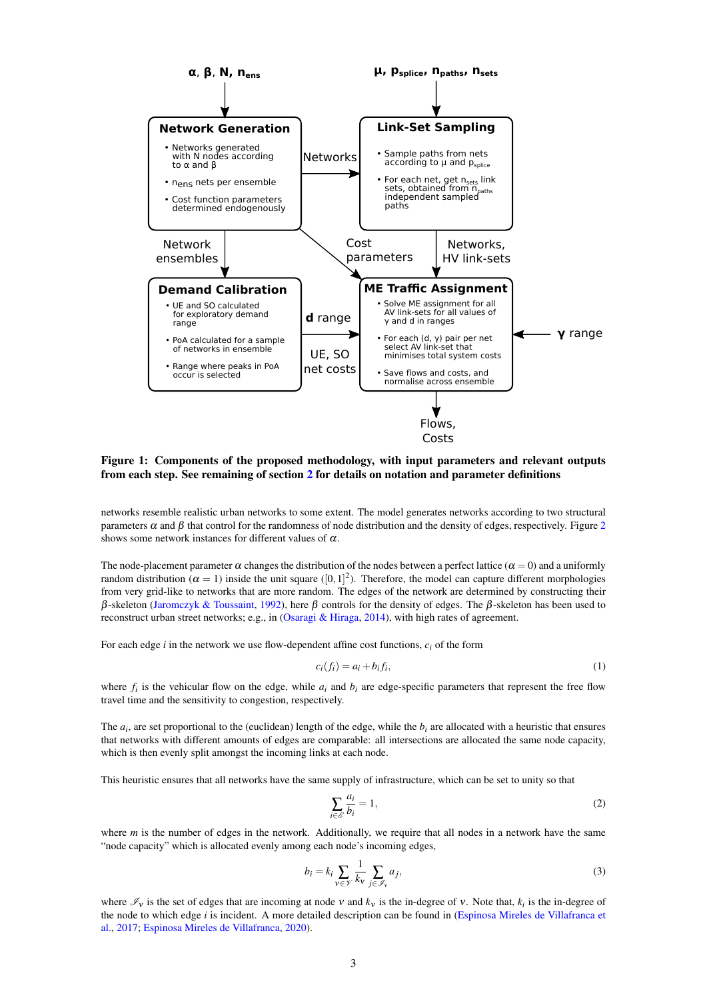<span id="page-2-0"></span>

Figure 1: Components of the proposed methodology, with input parameters and relevant outputs from each step. See remaining of section [2](#page-1-0) for details on notation and parameter definitions

networks resemble realistic urban networks to some extent. The model generates networks according to two structural parameters  $\alpha$  and  $\beta$  that control for the randomness of node distribution and the density of edges, respectively. Figure [2](#page-3-0) shows some network instances for different values of  $\alpha$ .

The node-placement parameter  $\alpha$  changes the distribution of the nodes between a perfect lattice ( $\alpha = 0$ ) and a uniformly random distribution ( $\alpha = 1$ ) inside the unit square ([0,1]<sup>2</sup>). Therefore, the model can capture different morphologies from very grid-like to networks that are more random. The edges of the network are determined by constructing their β-skeleton [\(Jaromczyk & Toussaint,](#page-8-9) [1992\)](#page-8-9), here β controls for the density of edges. The β-skeleton has been used to reconstruct urban street networks; e.g., in [\(Osaragi & Hiraga,](#page-8-10) [2014\)](#page-8-10), with high rates of agreement.

For each edge *i* in the network we use flow-dependent affine cost functions, *ci* of the form

$$
c_i(f_i) = a_i + b_i f_i,\tag{1}
$$

where  $f_i$  is the vehicular flow on the edge, while  $a_i$  and  $b_i$  are edge-specific parameters that represent the free flow travel time and the sensitivity to congestion, respectively.

The  $a_i$ , are set proportional to the (euclidean) length of the edge, while the  $b_i$  are allocated with a heuristic that ensures that networks with different amounts of edges are comparable: all intersections are allocated the same node capacity, which is then evenly split amongst the incoming links at each node.

This heuristic ensures that all networks have the same supply of infrastructure, which can be set to unity so that

<span id="page-2-1"></span>
$$
\sum_{i \in \mathcal{E}} \frac{a_i}{b_i} = 1,\tag{2}
$$

where *m* is the number of edges in the network. Additionally, we require that all nodes in a network have the same "node capacity" which is allocated evenly among each node's incoming edges,

$$
b_i = k_i \sum_{v \in \mathcal{V}} \frac{1}{k_v} \sum_{j \in \mathcal{I}_v} a_j,\tag{3}
$$

where  $\mathcal{I}_V$  is the set of edges that are incoming at node  $V$  and  $k_V$  is the in-degree of  $V$ . Note that,  $k_i$  is the in-degree of the node to which edge *i* is incident. A more detailed description can be found in [\(Espinosa Mireles de Villafranca et](#page-8-7) [al.,](#page-8-7) [2017;](#page-8-7) [Espinosa Mireles de Villafranca,](#page-8-8) [2020\)](#page-8-8).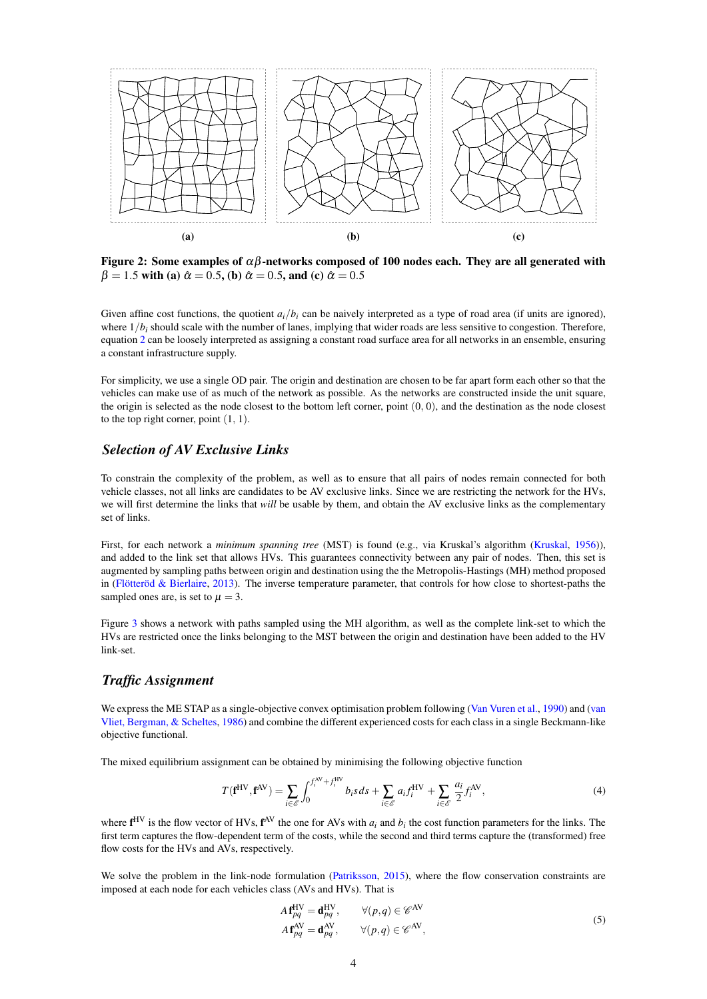<span id="page-3-0"></span>

Figure 2: Some examples of  $\alpha\beta$ -networks composed of 100 nodes each. They are all generated with  $β = 1.5$  with (a)  $\hat{α} = 0.5$ , (b)  $\hat{α} = 0.5$ , and (c)  $\hat{α} = 0.5$ 

Given affine cost functions, the quotient  $a_i/b_i$  can be naively interpreted as a type of road area (if units are ignored), where  $1/b_i$  should scale with the number of lanes, implying that wider roads are less sensitive to congestion. Therefore, equation [2](#page-2-1) can be loosely interpreted as assigning a constant road surface area for all networks in an ensemble, ensuring a constant infrastructure supply.

For simplicity, we use a single OD pair. The origin and destination are chosen to be far apart form each other so that the vehicles can make use of as much of the network as possible. As the networks are constructed inside the unit square, the origin is selected as the node closest to the bottom left corner, point  $(0, 0)$ , and the destination as the node closest to the top right corner, point  $(1, 1)$ .

#### *Selection of AV Exclusive Links*

To constrain the complexity of the problem, as well as to ensure that all pairs of nodes remain connected for both vehicle classes, not all links are candidates to be AV exclusive links. Since we are restricting the network for the HVs, we will first determine the links that *will* be usable by them, and obtain the AV exclusive links as the complementary set of links.

First, for each network a *minimum spanning tree* (MST) is found (e.g., via Kruskal's algorithm [\(Kruskal,](#page-8-11) [1956\)](#page-8-11)), and added to the link set that allows HVs. This guarantees connectivity between any pair of nodes. Then, this set is augmented by sampling paths between origin and destination using the the Metropolis-Hastings (MH) method proposed in [\(Flötteröd & Bierlaire,](#page-8-12) [2013\)](#page-8-12). The inverse temperature parameter, that controls for how close to shortest-paths the sampled ones are, is set to  $\mu = 3$ .

Figure [3](#page-4-0) shows a network with paths sampled using the MH algorithm, as well as the complete link-set to which the HVs are restricted once the links belonging to the MST between the origin and destination have been added to the HV link-set.

## *Traffic Assignment*

We express the ME STAP as a single-objective convex optimisation problem following [\(Van Vuren et al.,](#page-9-0) [1990\)](#page-9-0) and [\(van](#page-9-7) [Vliet, Bergman, & Scheltes,](#page-9-7) [1986\)](#page-9-7) and combine the different experienced costs for each class in a single Beckmann-like objective functional.

The mixed equilibrium assignment can be obtained by minimising the following objective function

$$
T(\mathbf{f}^{\mathrm{HV}}, \mathbf{f}^{\mathrm{AV}}) = \sum_{i \in \mathcal{E}} \int_0^{f_i^{\mathrm{AV}} + f_i^{\mathrm{HV}}} b_i s \, ds + \sum_{i \in \mathcal{E}} a_i f_i^{\mathrm{HV}} + \sum_{i \in \mathcal{E}} \frac{a_i}{2} f_i^{\mathrm{AV}},\tag{4}
$$

where  $f^{HV}$  is the flow vector of HVs,  $f^{AV}$  the one for AVs with  $a_i$  and  $b_i$  the cost function parameters for the links. The first term captures the flow-dependent term of the costs, while the second and third terms capture the (transformed) free flow costs for the HVs and AVs, respectively.

We solve the problem in the link-node formulation [\(Patriksson,](#page-9-8) [2015\)](#page-9-8), where the flow conservation constraints are imposed at each node for each vehicles class (AVs and HVs). That is

$$
A f_{pq}^{\text{HV}} = \mathbf{d}_{pq}^{\text{HV}}, \qquad \forall (p,q) \in \mathscr{C}^{\text{AV}} A f_{pq}^{\text{AV}} = \mathbf{d}_{pq}^{\text{AV}}, \qquad \forall (p,q) \in \mathscr{C}^{\text{AV}},
$$
 (5)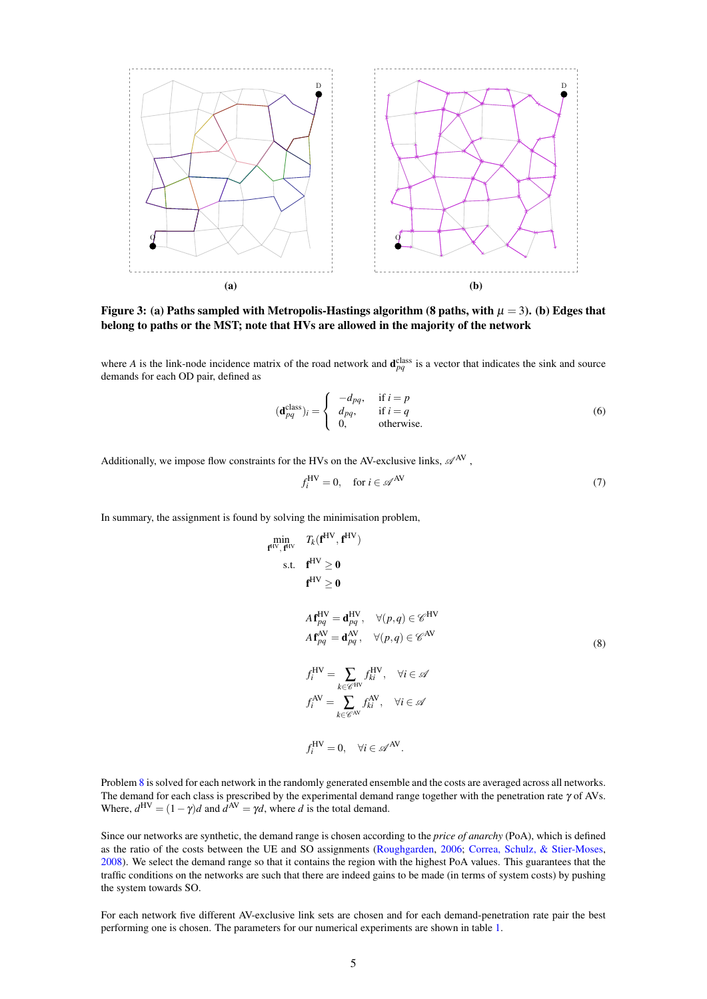<span id="page-4-0"></span>

Figure 3: (a) Paths sampled with Metropolis-Hastings algorithm (8 paths, with  $\mu = 3$ ). (b) Edges that belong to paths or the MST; note that HVs are allowed in the majority of the network

where *A* is the link-node incidence matrix of the road network and  $\mathbf{d}_{pq}^{\text{class}}$  is a vector that indicates the sink and source demands for each OD pair, defined as

$$
(\mathbf{d}_{pq}^{\text{class}})_i = \begin{cases} -d_{pq}, & \text{if } i = p \\ d_{pq}, & \text{if } i = q \\ 0, & \text{otherwise.} \end{cases}
$$
 (6)

Additionally, we impose flow constraints for the HVs on the AV-exclusive links,  $\mathscr{A}^{AV}$ ,

$$
f_i^{\text{HV}} = 0, \quad \text{for } i \in \mathcal{A}^{\text{AV}} \tag{7}
$$

In summary, the assignment is found by solving the minimisation problem,

<span id="page-4-1"></span>
$$
\min_{\mathbf{f}^{\text{HV}}, \mathbf{f}^{\text{HV}}} T_k(\mathbf{f}^{\text{HV}}, \mathbf{f}^{\text{HV}})
$$
\ns.t. 
$$
\mathbf{f}^{\text{HV}} \ge 0
$$
\n
$$
\mathbf{A}^{\text{HV}} \ge 0
$$
\n
$$
\mathbf{A}^{\text{HV}} \ge 0
$$
\n
$$
\mathbf{A}^{\text{HV}} \ge 0
$$
\n
$$
\mathbf{A}^{\text{HV}} \ge 0
$$
\n
$$
\mathbf{A}^{\text{AV}} \ge 0
$$
\n
$$
\mathbf{A}^{\text{AV}} \ge 0
$$
\n
$$
\mathbf{A}^{\text{AV}} \ge 0
$$
\n
$$
\mathbf{A}^{\text{AV}} \ge 0
$$
\n
$$
\mathbf{A}^{\text{AV}} \ge 0
$$
\n
$$
\mathbf{A}^{\text{AV}} \ge 0
$$
\n
$$
\mathbf{A}^{\text{AV}} \ge 0
$$
\n
$$
\mathbf{A}^{\text{HV}} \ge 0
$$
\n
$$
\mathbf{A}^{\text{HV}} \ge 0
$$
\n
$$
\mathbf{A}^{\text{HV}} \ge 0
$$
\n
$$
\mathbf{A}^{\text{HV}} \ge 0
$$
\n
$$
\mathbf{A}^{\text{HV}} \ge 0
$$
\n
$$
\mathbf{A}^{\text{HV}} \ge 0
$$
\n
$$
\mathbf{A}^{\text{HV}} \ge 0
$$
\n
$$
\mathbf{A}^{\text{HV}} \ge 0
$$
\n
$$
\mathbf{A}^{\text{HV}} \ge 0
$$
\n
$$
\mathbf{A}^{\text{HV}} \ge 0
$$
\n
$$
\mathbf{A}^{\text{HV}} \ge 0
$$
\n
$$
\mathbf{A}^{\text{HV}} \ge 0
$$
\n
$$
\mathbf{A}^{\text{HV}} \ge 0
$$
\n
$$
\mathbf{A}^{\text{HV}} \ge 0
$$
\n
$$
\mathbf{A}^{\text{HV}} \ge 0
$$
\n
$$
\mathbf{A}^{\text{HV}} \ge 0
$$
\n<

Problem [8](#page-4-1) is solved for each network in the randomly generated ensemble and the costs are averaged across all networks. The demand for each class is prescribed by the experimental demand range together with the penetration rate  $\gamma$  of AVs. Where,  $d^{HV} = (1 - \gamma)d$  and  $d^{AV} = \gamma d$ , where *d* is the total demand.

Since our networks are synthetic, the demand range is chosen according to the *price of anarchy* (PoA), which is defined as the ratio of the costs between the UE and SO assignments [\(Roughgarden,](#page-9-9) [2006;](#page-9-9) [Correa, Schulz, & Stier-Moses,](#page-8-13) [2008\)](#page-8-13). We select the demand range so that it contains the region with the highest PoA values. This guarantees that the traffic conditions on the networks are such that there are indeed gains to be made (in terms of system costs) by pushing the system towards SO.

For each network five different AV-exclusive link sets are chosen and for each demand-penetration rate pair the best performing one is chosen. The parameters for our numerical experiments are shown in table [1.](#page-5-0)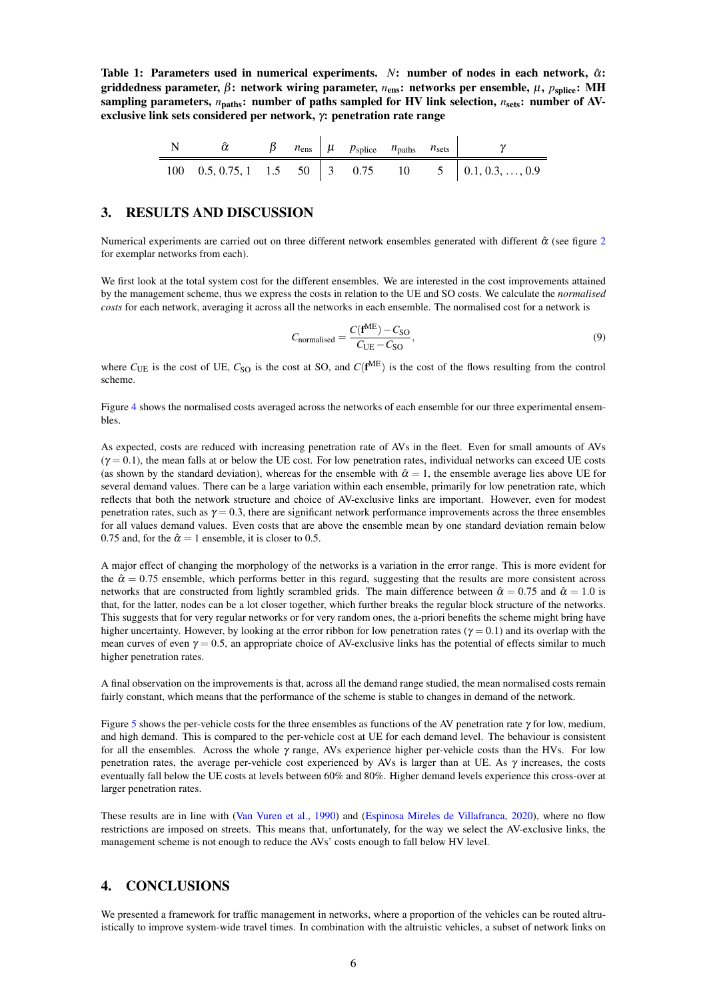<span id="page-5-0"></span>Table 1: Parameters used in numerical experiments.  $N$ : number of nodes in each network,  $\hat{\alpha}$ : griddedness parameter, β: network wiring parameter, *n*<sub>ens</sub>: networks per ensemble, μ, *p*<sub>splice</sub>: MH sampling parameters,  $n_{\text{paths}}$ : number of paths sampled for HV link selection,  $n_{\text{sets}}$ : number of AVexclusive link sets considered per network, γ: penetration rate range

|  |  | $n_{\text{ens}}$ $\mu$ $p_{\text{splice}}$ $n_{\text{paths}}$ $n_{\text{sets}}$ |  |                                                     |
|--|--|---------------------------------------------------------------------------------|--|-----------------------------------------------------|
|  |  |                                                                                 |  | 100 0.5, 0.75, 1 1.5 50 3 0.75 10 5 0.1, 0.3, , 0.9 |

## 3. RESULTS AND DISCUSSION

Numerical experiments are carried out on three different network ensembles generated with different  $\hat{\alpha}$  (see figure [2](#page-3-0) for exemplar networks from each).

We first look at the total system cost for the different ensembles. We are interested in the cost improvements attained by the management scheme, thus we express the costs in relation to the UE and SO costs. We calculate the *normalised costs* for each network, averaging it across all the networks in each ensemble. The normalised cost for a network is

$$
C_{\text{normalised}} = \frac{C(\mathbf{f}^{\text{ME}}) - C_{\text{SO}}}{C_{\text{UE}} - C_{\text{SO}}},\tag{9}
$$

where  $C_{\text{UE}}$  is the cost of UE,  $C_{\text{SO}}$  is the cost at SO, and  $C(f^{ME})$  is the cost of the flows resulting from the control scheme.

Figure [4](#page-6-0) shows the normalised costs averaged across the networks of each ensemble for our three experimental ensembles.

As expected, costs are reduced with increasing penetration rate of AVs in the fleet. Even for small amounts of AVs  $(\gamma = 0.1)$ , the mean falls at or below the UE cost. For low penetration rates, individual networks can exceed UE costs (as shown by the standard deviation), whereas for the ensemble with  $\hat{\alpha} = 1$ , the ensemble average lies above UE for several demand values. There can be a large variation within each ensemble, primarily for low penetration rate, which reflects that both the network structure and choice of AV-exclusive links are important. However, even for modest penetration rates, such as  $\gamma = 0.3$ , there are significant network performance improvements across the three ensembles for all values demand values. Even costs that are above the ensemble mean by one standard deviation remain below 0.75 and, for the  $\hat{\alpha} = 1$  ensemble, it is closer to 0.5.

A major effect of changing the morphology of the networks is a variation in the error range. This is more evident for the  $\hat{\alpha} = 0.75$  ensemble, which performs better in this regard, suggesting that the results are more consistent across networks that are constructed from lightly scrambled grids. The main difference between  $\hat{\alpha} = 0.75$  and  $\hat{\alpha} = 1.0$  is that, for the latter, nodes can be a lot closer together, which further breaks the regular block structure of the networks. This suggests that for very regular networks or for very random ones, the a-priori benefits the scheme might bring have higher uncertainty. However, by looking at the error ribbon for low penetration rates ( $\gamma = 0.1$ ) and its overlap with the mean curves of even  $\gamma = 0.5$ , an appropriate choice of AV-exclusive links has the potential of effects similar to much higher penetration rates.

A final observation on the improvements is that, across all the demand range studied, the mean normalised costs remain fairly constant, which means that the performance of the scheme is stable to changes in demand of the network.

Figure [5](#page-7-0) shows the per-vehicle costs for the three ensembles as functions of the AV penetration rate  $\gamma$  for low, medium, and high demand. This is compared to the per-vehicle cost at UE for each demand level. The behaviour is consistent for all the ensembles. Across the whole  $\gamma$  range, AVs experience higher per-vehicle costs than the HVs. For low penetration rates, the average per-vehicle cost experienced by AVs is larger than at UE. As  $\gamma$  increases, the costs eventually fall below the UE costs at levels between 60% and 80%. Higher demand levels experience this cross-over at larger penetration rates.

These results are in line with [\(Van Vuren et al.,](#page-9-0) [1990\)](#page-9-0) and [\(Espinosa Mireles de Villafranca,](#page-8-8) [2020\)](#page-8-8), where no flow restrictions are imposed on streets. This means that, unfortunately, for the way we select the AV-exclusive links, the management scheme is not enough to reduce the AVs' costs enough to fall below HV level.

## 4. CONCLUSIONS

We presented a framework for traffic management in networks, where a proportion of the vehicles can be routed altruistically to improve system-wide travel times. In combination with the altruistic vehicles, a subset of network links on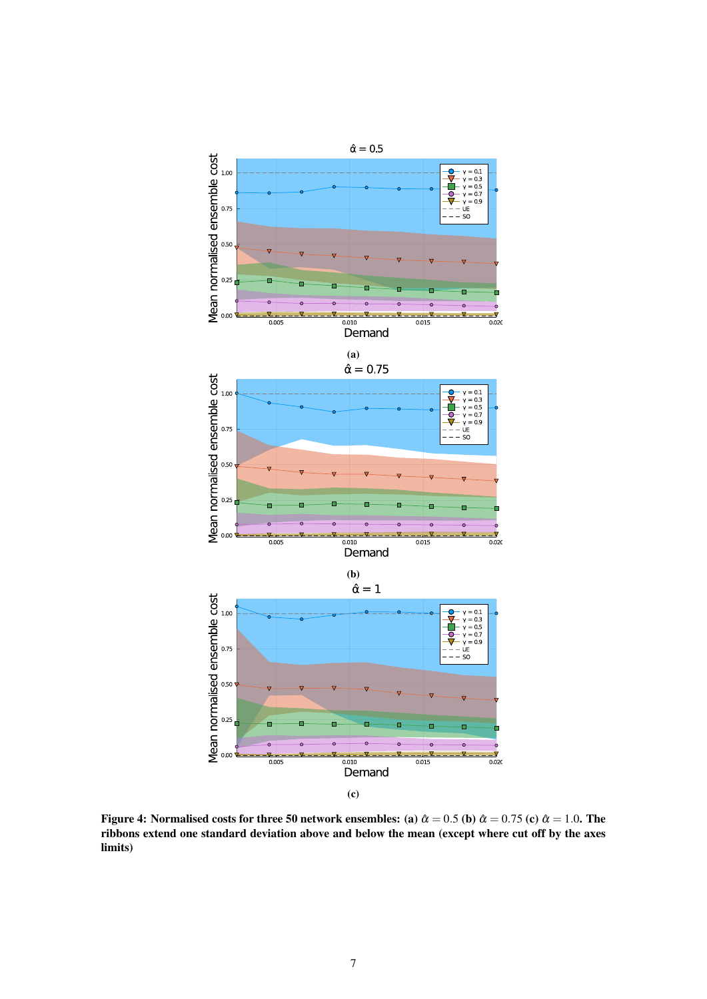<span id="page-6-0"></span>

Figure 4: Normalised costs for three 50 network ensembles: (a)  $\hat{\alpha} = 0.5$  (b)  $\hat{\alpha} = 0.75$  (c)  $\hat{\alpha} = 1.0$ . The ribbons extend one standard deviation above and below the mean (except where cut off by the axes limits)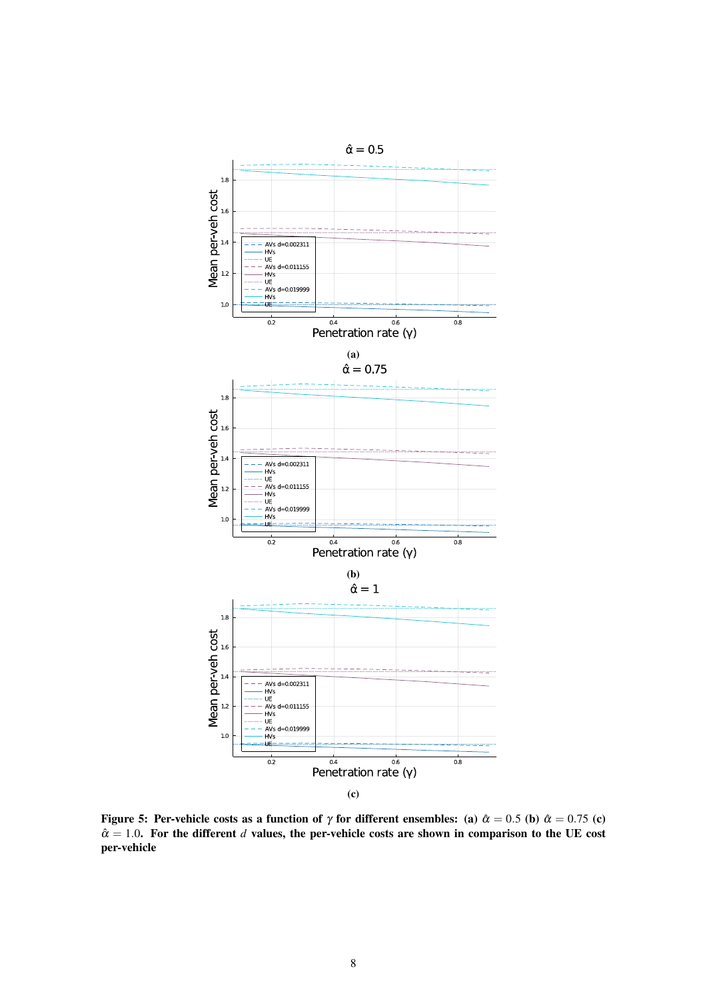<span id="page-7-0"></span>

Figure 5: Per-vehicle costs as a function of  $\gamma$  for different ensembles: (a)  $\hat{\alpha} = 0.5$  (b)  $\hat{\alpha} = 0.75$  (c)  $\hat{\alpha} = 1.0$ . For the different *d* values, the per-vehicle costs are shown in comparison to the UE cost per-vehicle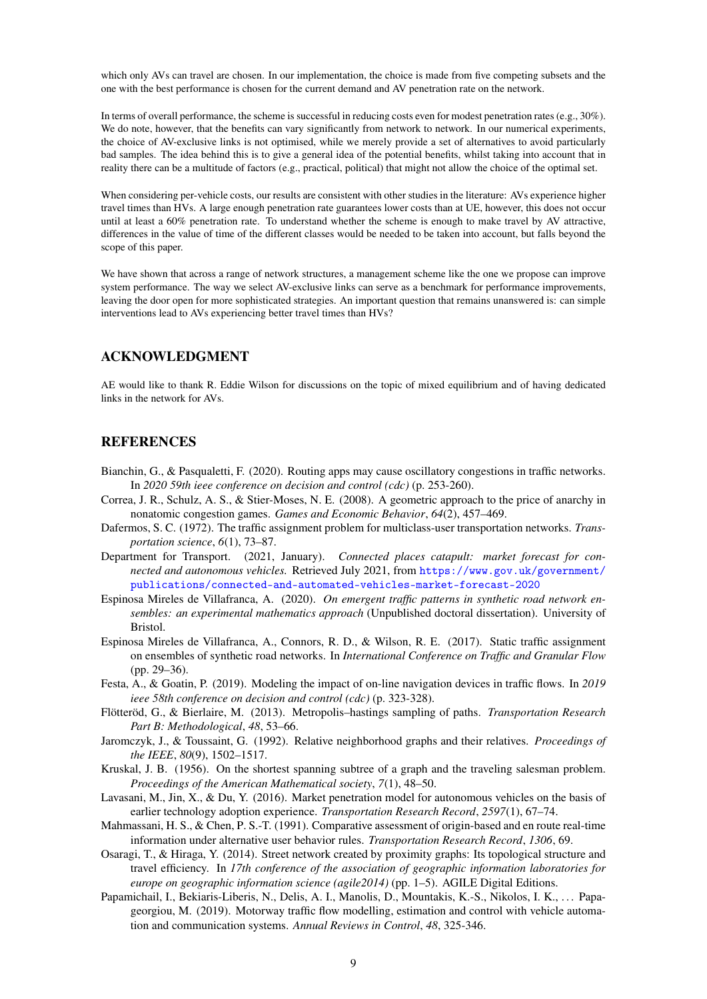which only AVs can travel are chosen. In our implementation, the choice is made from five competing subsets and the one with the best performance is chosen for the current demand and AV penetration rate on the network.

In terms of overall performance, the scheme is successful in reducing costs even for modest penetration rates (e.g., 30%). We do note, however, that the benefits can vary significantly from network to network. In our numerical experiments, the choice of AV-exclusive links is not optimised, while we merely provide a set of alternatives to avoid particularly bad samples. The idea behind this is to give a general idea of the potential benefits, whilst taking into account that in reality there can be a multitude of factors (e.g., practical, political) that might not allow the choice of the optimal set.

When considering per-vehicle costs, our results are consistent with other studies in the literature: AVs experience higher travel times than HVs. A large enough penetration rate guarantees lower costs than at UE, however, this does not occur until at least a 60% penetration rate. To understand whether the scheme is enough to make travel by AV attractive, differences in the value of time of the different classes would be needed to be taken into account, but falls beyond the scope of this paper.

We have shown that across a range of network structures, a management scheme like the one we propose can improve system performance. The way we select AV-exclusive links can serve as a benchmark for performance improvements, leaving the door open for more sophisticated strategies. An important question that remains unanswered is: can simple interventions lead to AVs experiencing better travel times than HVs?

## ACKNOWLEDGMENT

AE would like to thank R. Eddie Wilson for discussions on the topic of mixed equilibrium and of having dedicated links in the network for AVs.

#### **REFERENCES**

- <span id="page-8-4"></span>Bianchin, G., & Pasqualetti, F. (2020). Routing apps may cause oscillatory congestions in traffic networks. In *2020 59th ieee conference on decision and control (cdc)* (p. 253-260).
- <span id="page-8-13"></span>Correa, J. R., Schulz, A. S., & Stier-Moses, N. E. (2008). A geometric approach to the price of anarchy in nonatomic congestion games. *Games and Economic Behavior*, *64*(2), 457–469.
- <span id="page-8-2"></span>Dafermos, S. C. (1972). The traffic assignment problem for multiclass-user transportation networks. *Transportation science*, *6*(1), 73–87.
- <span id="page-8-0"></span>Department for Transport. (2021, January). *Connected places catapult: market forecast for connected and autonomous vehicles.* Retrieved July 2021, from [https://www.gov.uk/government/](https://www.gov.uk/government/publications/connected-and-automated-vehicles-market-forecast-2020) [publications/connected-and-automated-vehicles-market-forecast-2020](https://www.gov.uk/government/publications/connected-and-automated-vehicles-market-forecast-2020)
- <span id="page-8-8"></span>Espinosa Mireles de Villafranca, A. (2020). *On emergent traffic patterns in synthetic road network ensembles: an experimental mathematics approach* (Unpublished doctoral dissertation). University of Bristol.
- <span id="page-8-7"></span>Espinosa Mireles de Villafranca, A., Connors, R. D., & Wilson, R. E. (2017). Static traffic assignment on ensembles of synthetic road networks. In *International Conference on Traffic and Granular Flow* (pp. 29–36).
- <span id="page-8-5"></span>Festa, A., & Goatin, P. (2019). Modeling the impact of on-line navigation devices in traffic flows. In *2019 ieee 58th conference on decision and control (cdc)* (p. 323-328).
- <span id="page-8-12"></span>Flötteröd, G., & Bierlaire, M. (2013). Metropolis–hastings sampling of paths. *Transportation Research Part B: Methodological*, *48*, 53–66.
- <span id="page-8-9"></span>Jaromczyk, J., & Toussaint, G. (1992). Relative neighborhood graphs and their relatives. *Proceedings of the IEEE*, *80*(9), 1502–1517.
- <span id="page-8-11"></span>Kruskal, J. B. (1956). On the shortest spanning subtree of a graph and the traveling salesman problem. *Proceedings of the American Mathematical society*, *7*(1), 48–50.
- <span id="page-8-1"></span>Lavasani, M., Jin, X., & Du, Y. (2016). Market penetration model for autonomous vehicles on the basis of earlier technology adoption experience. *Transportation Research Record*, *2597*(1), 67–74.
- <span id="page-8-3"></span>Mahmassani, H. S., & Chen, P. S.-T. (1991). Comparative assessment of origin-based and en route real-time information under alternative user behavior rules. *Transportation Research Record*, *1306*, 69.
- <span id="page-8-10"></span>Osaragi, T., & Hiraga, Y. (2014). Street network created by proximity graphs: Its topological structure and travel efficiency. In *17th conference of the association of geographic information laboratories for europe on geographic information science (agile2014)* (pp. 1–5). AGILE Digital Editions.
- <span id="page-8-6"></span>Papamichail, I., Bekiaris-Liberis, N., Delis, A. I., Manolis, D., Mountakis, K.-S., Nikolos, I. K., ... Papageorgiou, M. (2019). Motorway traffic flow modelling, estimation and control with vehicle automation and communication systems. *Annual Reviews in Control*, *48*, 325-346.